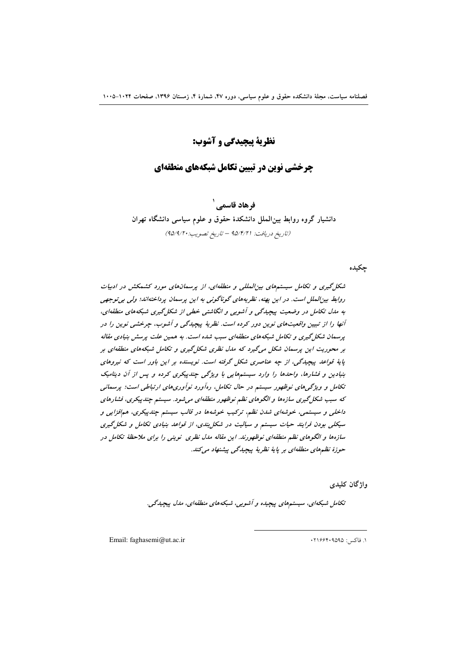## نظرية پيچيدگي و آشوب:

## **جرخشی نوین در تسین تکامل شیکههای منطقهای**

ف هاد قاسمہ ِ ` دانشیار گروه روابط بین الملل دانشکدهٔ حقوق و علوم سیاسی دانشگاه تهران (تاريخ دريافت: ٩۵/١٤/٢١ – تاريخ تصويب: ٩٥/٩/٢٠)

#### چکیده

شکل گیری و تکامل سیستمهای بین المللی و منطقهای، از پرسمانهای مورد کشمکش در ادبیات روابط بینالملل است. در این بهنه، نظریههای گوناگونی به این پرسمان پرداختهاند؛ ولی بی توجهی به مدل تکامل در وضعیت پیچیدگی و آشوبی و انگاشتی خطی از شکل گیری شبکههای منطقهای، آنها را از تبیین واقعیتهای نوین دور کرده است. نظریهٔ پیچیدگی و آشوب، چرخشی نوین را در پرسمان شکل گیری و تکامل شبکههای منطقهای سبب شده است. به همین علت پرسش بنیادی مقاله بر محوریت این پرسمان شکل میگیرد که ملل نظری شکل گیری و تکامل شبکههای منطقهای بر پایهٔ قواعد پیچیدگی، از چه عناصری شکل گرفته است. نویسنده بر این باور است که نیروهای بنیادین و فشارها، واحدها را وارد سیستمهایی با ویژگی چندپیکری کرده و پس از آن دینامیک تکامل و ویژگی های نوظهور سیستم در حال تکامل، رهآورد نوآوری های ارتباطی است؛ پرسمانی که سبب شکل گیری سازهها و الگوهای نظم نوظهور منطقهای میشود. سیستم چندپیکری، فشارهای داخلی و سیستمی، خوشهای شدن نظم، ترکیب خوشهها در قالب سیستم چندپیکری، همافزایی و سیکلی بودن فرایند حیات سیستم و سیالیت در شکل بندی، از قواعد بنیادی تکامل و شکل گیری سازهها و الگوهای نظم منطقهای نوظهورند. این مقاله مدل نظری نوینی را برای ملاحظهٔ تکامل در حوزهٔ نظمهای منطقهای بر پایهٔ نظریهٔ پیچیدگی پیشنهاد میکند.

وإژگان كليدى

تکامل شبکهای، سیستمهای پیچیده و آشویی، شبکههای منطقهای، مدل پیچیدگی.

Email: faghasemi@ut.ac.ir

١. فاكس: ١٩٥٩٥٩٥٩٠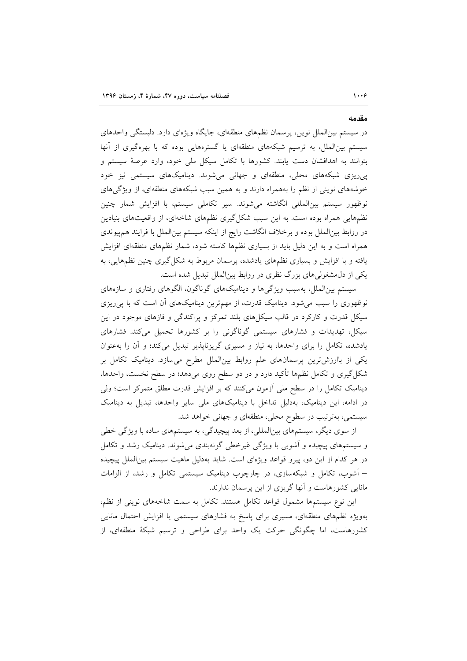در سیستم بین|لملل نوین، پرسمان نظمهای منطقهای، جایگاه ویژهای دارد. دلبستگی واحدهای سیستم بینالملل، به ترسیم شبکههای منطقهای یا گسترههایی بوده که با بهرهگیری از آنها بتوانند به اهدافشان دست یابند. کشورها با تکامل سیکل ملی خود، وارد عرصهٔ سیستم و پیریزی شبکههای محلی، منطقهای و جهانی میشوند. دینامیکهای سیستمی نیز خود خوشههای نوینی از نظم را بههمراه دارند و به همین سبب شبکههای منطقهای، از ویژگیهای نوظهور سیستم بینالمللی انگاشته میشوند. سیر تکاملی سیستم، با افزایش شمار چنین نظمهایی همراه بوده است. به این سبب شکل گیری نظمهای شاخهای، از واقعیتهای بنیادین در روابط بین|لملل بوده و برخلاف انگاشت رایج از اینکه سیستم بین|لملل با فرایند همهیوندی همراه است و به این دلیل باید از بسیاری نظمها کاسته شود، شمار نظمهای منطقهای افزایش یافته و با افزایش و بسیاری نظمهای یادشده، پرسمان مربوط به شکل گیری چنین نظمهایی، به یکی از دل،مشغولی های بزرگ نظری در روابط بین الملل تبدیل شده است.

سیستم بین الملل، بهسبب ویژگیها و دینامیکهای گوناگون، الگوهای رفتاری و سازههای نوظهوری را سبب میشود. دینامیک قدرت، از مهمترین دینامیکهای آن است که با پی ریزی سیکل قدرت و کارکرد در قالب سیکلهای بلند تمرکز و پراکندگی و فازهای موجود در این سیکل، تهدیدات و فشارهای سیستمی گوناگونی را بر کشورها تحمیل میکند. فشارهای یادشده، تکامل را برای واحدها، به نیاز و مسیری گریزناپذیر تبدیل میکند؛ و آن را بهعنوان یکی از باارزش ترین پرسمانهای علم روابط بینالملل مطرح میسازد. دینامیک تکامل بر شکل گیری و تکامل نظمها تأکید دارد و در دو سطح روی میدهد؛ در سطح نخست، واحدها، دینامیک تکامل را در سطح ملی آزمون میکنند که بر افزایش قدرت مطلق متمرکز است؛ ولی در ادامه، این دینامیک، بهدلیل تداخل با دینامیکهای ملی سایر واحدها، تبدیل به دینامیک سیستمی، بهترتیب در سطوح محلی، منطقهای و جهانی خواهد شد.

از سوی دیگر، سیستمهای بینالمللی، از بعد پیچیدگی، به سیستمهای ساده با ویژگی خطی و سیستمهای پیچیده و آشوبی با ویژگی غیرخطی گونهبندی میشوند. دینامیک رشد و تکامل در هر كدام از اين دو، پيرو قواعد ويژهاى است. شايد بهدليل ماهيت سيستم بين الملل پيچيده – آشوب، تکامل و شبکهسازی، در چارچوب دینامیک سیستمی تکامل و رشد، از الزامات مانایی کشورهاست و آنها گریزی از این پرسمان ندارند.

این نوع سیستمها مشمول قواعد تکامل هستند. تکامل به سمت شاخههای نوینی از نظم، بهویژه نظمهای منطقهای، مسیری برای پاسخ به فشارهای سیستمی یا افزایش احتمال مانایی کشورهاست، اما چگونگی حرکت یک واحد برای طراحی و ترسیم شبکهٔ منطقهای، از

مقدمه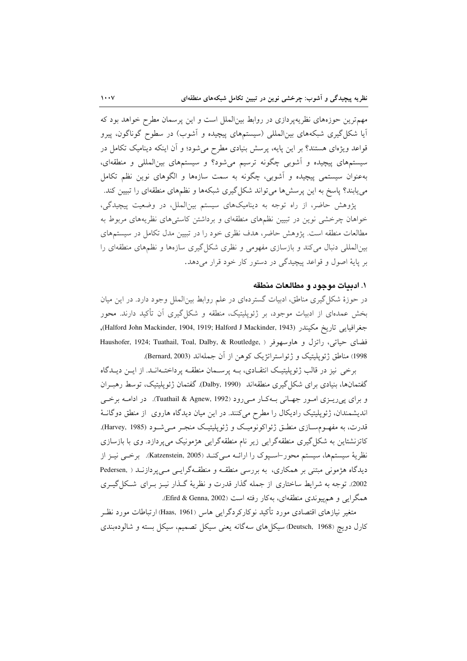مهمترین حوزههای نظریهپردازی در روابط بینالملل است و این پرسمان مطرح خواهد بود که آیا شکل گیری شبکههای بین|لمللی (سیستمهای پیچیده و آشوب) در سطوح گوناگون، پیرو قواعد ویژهای هستند؟ بر این پایه، پرسش بنیادی مطرح میشود؛ و آن اینکه دینامیک تکامل در سیستمهای پیچیده و آشوبی چگونه ترسیم میشود؟ و سیستمهای بینالمللی و منطقهای، بهعنوان سیستمی پیچیده و آشوبی، چگونه به سمت سازهها و الگوهای نوین نظم تکامل می یابند؟ پاسخ به این پرسش ها می تواند شکل گیری شبکهها و نظمهای منطقهای را تبیین کند.

پژوهش حاضر، از راه توجه به دینامیکهای سیستم بینالملل، در وضعیت پیچیدگی، خواهان چرخشی نوین در تبیین نظمهای منطقهای و برداشتن کاستی های نظریههای مربوط به مطالعات منطقه است. پژوهش حاضر، هدف نظری خود را در تبیین مدل تکامل در سیستمهای بین|لمللی دنبال می کند و بازسازی مفهومی و نظری شکل گیری سازهها و نظمهای منطقهای را بر پایهٔ اصول و قواعد پیچیدگی در دستور کار خود قرار می دهد.

#### ١. ادبيات موجود و مطالعات منطقه

در حوزهٔ شکل گیری مناطق، ادبیات گستردهای در علم روابط بین|لملل وجود دارد. در این میان بخش عمدهای از ادبیات موجود، بر ژئوپلیتیک، منطقه و شکل گیری اَن تأکید دارند. محور جغرافيايي تاريخ مكيندر (Halford John Mackinder, 1904, 1919; Halford J Mackinder, 1943), فضاي حياتي، راتزل و هاوسهوفر ( ,Haushofer, 1924; Tuathail, Toal, Dalby, & Routledge 1998) مناطق ژئوپليتيک و ژئواستراتژيک کوهن از آن جملهاند (Bernard, 2003).

برخی نیز در قالب ژئوپلیتیک انتقـادی، بـه پرسـمان منطقـه پرداختـهانـد. از ایـن دیـدگاه گفتمانها، بنیادی برای شکل گیری منطقهاند (Dalby, 1990). گفتمان ژئوپلیتیک، توسط رهبـران و براي يې ريـزي امـور جهـاني بـهکـار مـې رود (Tuathail & Agnew, 1992). در ادامـه برخـې اندیشمندان، ژئوپلیتیک رادیکال را مطرح میکنند. در این میان دیدگاه هاروی از منطق دوگانـهٔ قدرت، به مفهـومسـازی منطـق ژئواکونومیـک و ژئوپلیتیـک منجـر مـیشـود (Harvey, 1985). کاتزنشتاین به شکل گیری منطقهگرایی زیر نام منطقهگرایی هژمونیک میپردازد. وی با بازسازی نظرية سيستمها، سيستم محور-اسـيوك را ارائــه مـي كنــد (Katzenstein, 2005). برخــي نيــز از دیدگاه هژمونی مبتنی بر همکاری، به بررسی منطقـه و منطقـهگرایـی مـیپردازنـد ( Pedersen, 2002). توجه به شرایط ساختاری از جمله گذار قدرت و نظریهٔ گـذار نیـز بـرای شـكل گیـری همگرایی و هم پیوندی منطقهای، بهکار رفته است (Efird & Genna, 2002).

متغیر نیازهای اقتصادی مورد تأکید نوکارکردگرایی هاس (Haas, 1961) ارتباطات مورد نظـر کارل دویچ (Deutsch, 1968) سیکل های سهگانه یعنی سیکل تصمیم، سیکل بسته و شالودهبندی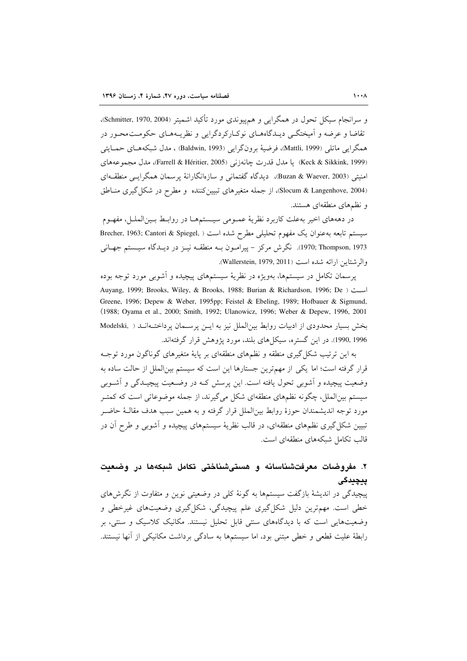و سرانجام سیکل تحول در همگرایی و همهپیوندی مورد تأکید اشمیتر (Schmitter, 1970, 2004)، تقاضا و عرضه و آمیختگے دیپدگاههای نوکبارکردگرایی و نظریبههبای حکومت، حور در همگرايي ماتلي (Mattli, 1999)، فرضيهٔ برونگرايي (Baldwin, 1993) ، مدل شبكههـاي حمـايتي (Keck & Sikkink, 1999) يا مدل قدرت چانەزنى (Farrell & Héritier, 2005)، مدل مجموعههاى امنیتی (Buzan & Waever, 2003)، دیدگاه گفتمانی و سازەانگارانهٔ پرسمان همگرایسی منطقـهای (Slocum & Langenhove, 2004)، از جمله متغیرهای تبیین کننده و مطرح در شکل گیری مناطق و نظمهای منطقهای هستند.

در دهههای اخیر بهعلت کاربرد نظریهٔ عمـومی سیـستمهـا در روابـط بـینالملـل، مفهـوم سیستم تابعه بهعنوان یک مفهوم تحلیلی مطرح شده است ( ,Brecher, 1963; Cantori & Spiegel 1973 .1970; Thompson). نگرش مركز – پيرامــون بــه منطقــه نيــز در ديــدگاه سيــستم جهــانـي والرشتاين ارائه شده است (Wallerstein, 1979, 2011).

پرسمان تکامل در سیستمها، بهویژه در نظریهٔ سیستمهای پیچیده و اشوبی مورد توجه بوده Auyang, 1999; Brooks, Wiley, & Brooks, 1988; Burian & Richardson, 1996; De ) است ( Greene, 1996; Depew & Weber, 1995pp; Feistel & Ebeling, 1989; Hofbauer & Sigmund, (1988; Oyama et al., 2000; Smith, 1992; Ulanowicz, 1996; Weber & Depew, 1996, 2001 بخش بسیار محدودی از ادبیات روابط بین الملل نیز به ایـن پرسـمان پرداختـهانـد ( Modelski, .<br>1996, 1990). در این گستره، سیکل های بلند، مورد یژوهش قرار گرفتهاند.

به این ترتیب شکل گیری منطقه و نظمهای منطقهای بر پایهٔ متغیرهای گوناگون مورد توجـه قرار گرفته است؛ اما یکی از مهمترین جستارها این است که سیستم بین|لملل از حالت ساده به وضعیت پیچیده و اَشوبی تحول یافته است. این پرسش کـه در وضـعیت پیچیـدگی و اَشـوبی سیستم بینالملل، چگونه نظمهای منطقهای شکل میگیرند، از جمله موضوعاتی است که کمتـر مورد توجه اندیشمندان حوزهٔ روابط بین|لملل قرار گرفته و به همین سبب هدف مقالـهٔ حاضـر تبیین شکل گیری نظمهای منطقهای، در قالب نظریهٔ سیستمهای پیچیده و آشوبی و طرح آن در قالب تکامل شبکههای منطقهای است.

# ۲. مفروضات معرفتشناسانه و هستیشناختی تکامل شبکهها در وضعیت ييچيدگى

پیچیدگی در اندیشهٔ بازگفت سیستمها به گونهٔ کلی در وضعیتی نوین و متفاوت از نگرشهای خطی است. مهمترین دلیل شکل گیری علم پیچیدگی، شکل گیری وضعیتهای غیرخطی و وضعیتهایی است که با دیدگاههای سنتی قابل تحلیل نیستند. مکانیک کلاسیک و سنتی، بر رابطهٔ علیت قطعی و خطی مبتنی بود، اما سیستمها به سادگی برداشت مکانیکی از آنها نیستند.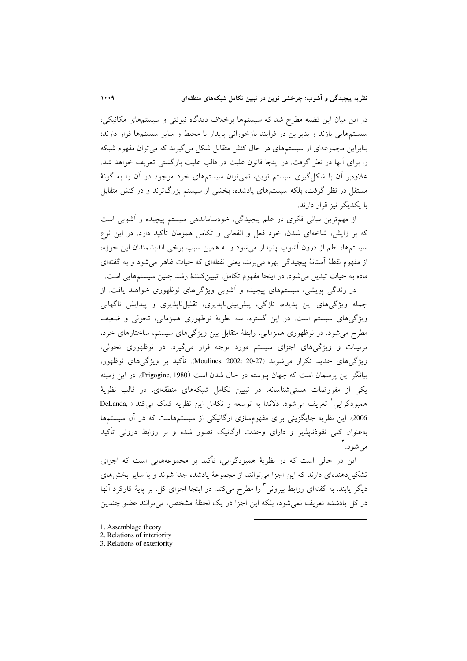در این میان این قضیه مطرح شد که سیستمها برخلاف دیدگاه نیوتنی و سیستمهای مکانیکی، سیستمهایی بازند و بنابراین در فرایند بازخورانی پایدار با محیط و سایر سیستمها قرار دارند؛ بنابراین مجموعهای از سیستمهای در حال کنش متقابل شکل می گیرند که می توان مفهوم شبکه را برای آنها در نظر گرفت. در اینجا قانون علیت در قالب علیت بازگشتی تعریف خواهد شد. علاوهبر آن با شکل گیری سیستم نوین، نمیتوان سیستمهای خرد موجود در آن را به گونهٔ مستقل در نظر گرفت، بلکه سیستمهای یادشده، بخشی از سیستم بزرگترند و در کنش متقابل با یکدیگر نیز قرار دارند.

از مهمترین مبانی فکری در علم پیچیدگی، خودساماندهی سیستم پیچیده و آشوبی است که بر زایش، شاخهای شدن، خود فعل و انفعالی و تکامل همزمان تأکید دارد. در این نوع سیستمها، نظم از درون اَشوب پدیدار می شود و به همین سبب برخی اندیشمندان این حوزه، از مفهوم نقطهٔ آستانهٔ پیچیدگی بهره می برند، یعنی نقطهای که حیات ظاهر می شود و به گفتهای ماده به حیات تبدیل می شود. در اینجا مفهوم تکامل، تبیین کنندهٔ رشد چنین سیستمهایی است.

در زندگی پویشی، سیستمهای پیچیده و آشوبی ویژگیهای نوظهوری خواهند یافت. از جمله ویژگیهای این پدیده، تازگی، پیشبینی،ناپذیری، تقلیل،ناپذیری و پیدایش ناگهانی ویژگیهای سیستم است. در این گستره، سه نظریهٔ نوظهوری همزمانی، تحولی و ضعیف مطرح می شود. در نوظهوری همزمانی، رابطهٔ متقابل بین ویژگیهای سیستم، ساختارهای خرد، ترتیبات و ویژگیهای اجزای سیستم مورد توجه قرار میگیرد. در نوظهوری تحولی، ويژگيهاي جديد تکرار مي شوند (27-20 :2002 :Moulines, 2002). تأکيد بر ويژگيهاي نوظهور، بیانگر این برسمان است که جهان پیوسته در حال شدن است (Prigogine, 1980). در این زمینه یکی از مفروضات هستی شناسانه، در تبیین تکامل شبکههای منطقهای، در قالب نظریهٔ همبودگرایی ٰ تعریف می شود. دلاندا به توسعه و تکامل این نظریه کمک می کند ( ,DeLanda 2006). این نظریه جایگزینی برای مفهومسازی ارگانیکی از سیستمهاست که در آن سیستمها بهعنوان کلی نفوذناپذیر و دارای وحدت ارگانیک تصور شده و بر روابط درونی تأکید مے شو د. آ

این در حالی است که در نظریهٔ همبودگرایی، تأکید بر مجموعههایی است که اجزای تشکیل دهندهای دارند که این اجزا می توانند از مجموعهٔ یادشده جدا شوند و با سایر بخش های دیگر یابند. به گفتهای روابط بیرونی ٌ را مطرح میکند. در اینجا اجزای کل، بر پایهٔ کارکرد آنها در کل یادشده تعریف نمی شود، بلکه این اجزا در یک لحظهٔ مشخص، می توانند عضو چندین

- 1. Assemblage theory
- 2. Relations of interiority
- 3. Relations of exteriority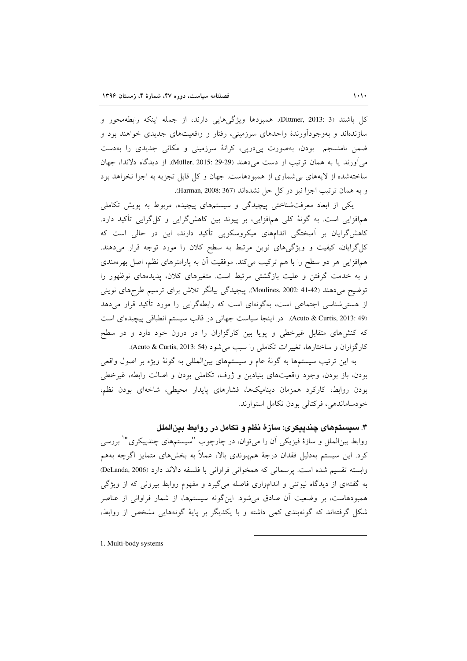كل باشند (3 :Dittmer, 2013). همبودها ويژگىهايى دارند، از جمله اينكه رابطهمحور و سازندهاند و بهوجودآورندهٔ واحدهای سرزمینی، رفتار و واقعیتهای جدیدی خواهند بود و ضمن نامنسجم بودن، بهصورت پیدرپی، کرانهٔ سرزمینی و مکانی جدیدی را بهدست میآورند یا به همان ترتیب از دست میدهند (29-29 :Müller, 2015). از دیدگاه دلاندا، جهان ساختهشده از لایههای بی شماری از همبودهاست. جهان و کل قابل تجزیه به اجزا نخواهد بود و به همان ترتيب اجزا نيز در كل حل نشدهاند (Harman, 2008: 367).

یکی از ابعاد معرفتشناختی پیچیدگی و سیستمهای پیچیده، مربوط به پویش تکاملی هم|فزایی است. به گونهٔ کلی هم|فزایی، بر پیوند بین کاهش\$رایی و کل¢رایی تأکید دارد. کاهش گرایان بر آمیختگی اندامهای میکروسکوپی تأکید دارند، این در حالی است که کل گرایان، کیفیت و ویژگی های نوین مرتبط به سطح کلان را مورد توجه قرار میدهند. همافزایی هر دو سطح را با هم ترکیب میکند. موفقیت آن به پارامترهای نظم، اصل بهرهمندی و به خدمت گرفتن و علیت بازگشتی مرتبط است. متغیرهای کلان، پدیدههای نوظهور را توضیح میدهند (41-41 Aoulines, 2002: 41-42). پیچیدگی بیانگر تلاش برای ترسیم طرحهای نوینی از هستی شناسی اجتماعی است، بهگونهای است که رابطهگرایی را مورد تأکید قرار می دهد (Acuto & Curtis, 2013: 49). در اینجا سیاست جهانی در قالب سیستم انطباقی پیچیدهای است که کنشهای متقابل غیرخطی و پویا بین کارگزاران را در درون خود دارد و در سطح كارگزاران و ساختارها، تغييرات تكاملي را سبب مي شود (Acuto & Curtis, 2013: 54).

به این ترتیب سیستمها به گونهٔ عام و سیستمهای بینالمللی به گونهٔ ویژه بر اصول واقعی بودن، باز بودن، وجود واقعیتهای بنیادین و ژرف، تکاملی بودن و اصالت رابطه، غیرخطی بودن روابط، کارکرد همزمان دینامیکها، فشارهای پایدار محیطی، شاخهای بودن نظم، خودساماندهي، فركتالي بودن تكامل استوارند.

۳. سیستمهای چندییکری: سازهٔ نظم و تکامل در روابط بینالملل

روابط بین|لملل و سازهٔ فیزیکی آن را میتوان، در چارچوب "سیستمهای چندپیکری" بررسی کرد. این سیستم بهدلیل فقدان درجهٔ همهیوندی بالا، عملاً به بخشهای متمایز اگرچه بههم وابسته تقسيم شده است. يرسماني كه همخواني فراواني با فلسفه دالاند دارد (DeLanda, 2006) به گفتهای از دیدگاه نیوتنی و اندامواری فاصله میگیرد و مفهوم روابط بیرونی که از ویژگی همبودهاست، بر وضعیت آن صادق می شود. این گونه سیستمها، از شمار فراوانی از عناصر شکل گرفتهاند که گونهبندی کمی داشته و با یکدیگر بر پایهٔ گونههایی مشخص از روابط،

1. Multi-body systems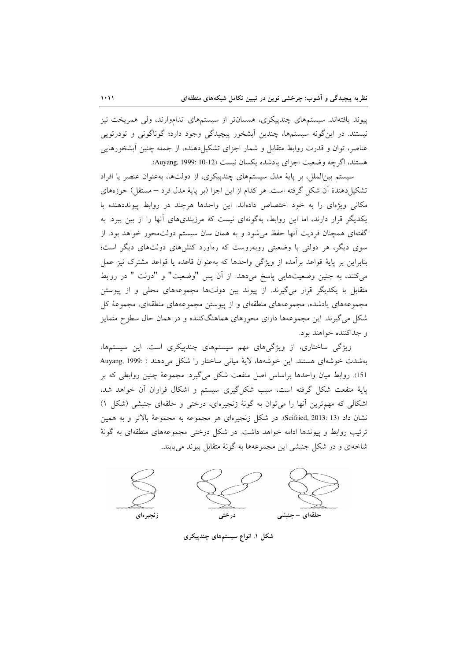پیوند یافتهاند. سیستمهای چندییکری، همسانتر از سیستمهای انداموارند، ولی همریخت نیز نیستند. در این گونه سیستمها، چندین آبشخور پیچیدگی وجود دارد؛ گوناگونی و تودرتویی عناصر، توان و قدرت روابط متقابل و شمار اجزای تشکیل دهنده، از جمله چنین آبشخورهایی هستند، اگرچه وضعیت اجزای یادشده یکسان نیست (Auyang, 1999: 10-12).

سیستم بینالملل، بر پایهٔ مدل سیستمهای چندپیکری، از دولتها، بهعنوان عنصر یا افراد تشكيلٍ دهندهٔ آن شكل گرفته است. هر كدام از اين اجزا (بر پايهٔ مدل فرد – مستقل) حوزههاي مکانی ویژهای را به خود اختصاص دادهاند. این واحدها هرچند در روابط پیونددهنده با یکدیگر قرار دارند، اما این روابط، بهگونهای نیست که مرزبندیهای آنها را از بین ببرد. به گفتهای همچنان فردیت آنها حفظ میشود و به همان سان سیستم دولتمحور خواهد بود. از سوی دیگر، هر دولتی با وضعیتی روبهروست که رهآورد کنشهای دولتهای دیگر است؛ بنابراین بر پایهٔ قواعد برآمده از ویژگی واحدها که بهعنوان قاعده یا قواعد مشترک نیز عمل میکنند، به چنین وضعیتهایی پاسخ میدهد. از آن پس "وضعیت" و "دولت " در روابط متقابل با یکدیگر قرار میگیرند. از پیوند بین دولتها مجموعههای محلی و از پیوستن مجموعههای یادشده، مجموعههای منطقهای و از پیوستن مجموعههای منطقهای، مجموعهٔ کل شکل میگیرند. این مجموعهها دارای محورهای هماهنگکننده و در همان حال سطوح متمایز و جداکننده خواهند بود.

ویژگی ساختاری، از ویژگیهای مهم سیستمهای چندپیکری است. این سیستمها، بهشدت خوشهای هستند. این خوشهها، لایهٔ میانی ساختار را شکل می دهند ( :Auyang, 1999 151). روابط میان واحدها براساس اصل منفعت شکل میگیرد. مجموعهٔ چنین روابطی که بر پایهٔ منفعت شکل گرفته است، سبب شکل گیری سیستم و اشکال فراوان آن خواهد شد، اشکالی که مهمترین آنها را می توان به گونهٔ زنجیرهای، درختی و حلقهای جنبشی (شکل ۱) نشان داد (Seifried, 2013: 13). در شكل زنجيرهاي هر مجموعه به مجموعهٔ بالاتر و به همين ترتیب روابط و پیوندها ادامه خواهد داشت. در شکل درختی مجموعههای منطقهای به گونهٔ شاخهای و در شکل جنبشی این مجموعهها به گونهٔ متقابل پیوند می یابند.



شکل ۱. انواع سیستمهای چندپیکری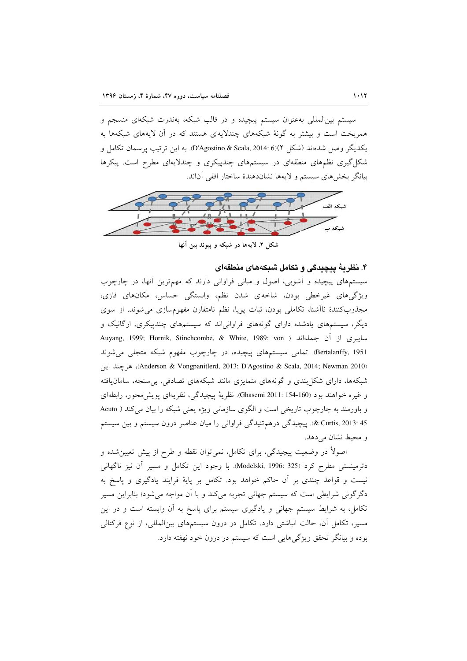سیستم بین|لمللی بهعنوان سیستم پیچیده و در قالب شبکه، بهندرت شبکهای منسجم و همریخت است و بیشتر به گونهٔ شبکههای چندلایهای هستند که در آن لایههای شبکهها به يكديگر وصل شدهاند (شكل D'Agostino & Scala, 2014: 6)(۲ به اين ترتيب پرسمان تكامل و شکل گیری نظمهای منطقهای در سیستمهای چندپیکری و چندلایهای مطرح است. پیکرها بيانگر بخش هاي سيستم و لايهها نشاندهندهٔ ساختار افقى آناند.



شکل ۲. لایهها در شبکه و پیوند بین آنها

### ۴. نظریهٔ پیچیدگی و تکامل شبکههای منطقهای

سیستمهای پیچیده و آشوبی، اصول و مبانی فراوانی دارند که مهمترین آنها، در چارچوب ویژگیهای غیرخطی بودن، شاخهای شدن نظم، وابستگی حساس، مکانهای فازی، مجذوب كنندهٔ ناأشنا، تكاملي بودن، ثبات پويا، نظم نامتقارن مفهومسازى مى شوند. از سوى دیگر، سیستمهای یادشده دارای گونههای فراوانیاند که سیستمهای چندپیکری، ارگانیک و Auyang, 1999; Hornik, Stinchcombe, & White, 1989; von ) جايبري از آن جملهاند ( Bertalanffy, 1951. تمامی سیستمهای پیچیده، در چارچوب مفهوم شبکه متجلی می شوند (Anderson & Vongpanitlerd, 2013; D'Agostino & Scala, 2014; Newman 2010)، هر چند این شبکهها، دارای شکل بندی و گونههای متمایزی مانند شبکههای تصادفی، بی سنجه، سامان یافته و غيره خواهند بود (160-154 :Ghasemi). نظرية پيچيدگي، نظريهاي پويش محور، رابطهاي و باورمند به چارچوب تاریخی است و الگوی سازمانی ویژه یعنی شبکه را بیان می کند ( Acuto 45 :2013 & Curtis, 2013). پیچیدگی درهم تنیدگی فراوانی را میان عناصر درون سیستم و بین سیستم و محيط نشان مي دهد.

اصولاً در وضعیت پیچیدگی، برای تکامل، نمیٍتوان نقطه و طرح از پیش تعیینِشده و دترمینستی مطرح کرد (325 :Modelski, 1996). با وجود این تکامل و مسیر آن نیز ناگهانی نیست و قواعد چندی بر آن حاکم خواهد بود. تکامل بر پایهٔ فرایند یادگیری و پاسخ به دگرگونی شرایطی است که سیستم جهانی تجربه میکند و با آن مواجه میشود؛ بنابراین مسیر تکامل، به شرایط سیستم جهانی و یادگیری سیستم برای پاسخ به آن وابسته است و در این مسیر، تکامل آن، حالت انباشتی دارد. تکامل در درون سیستمهای بینالمللی، از نوع فرکتالی بوده و بیانگر تحقق ویژگیهایی است که سیستم در درون خود نهفته دارد.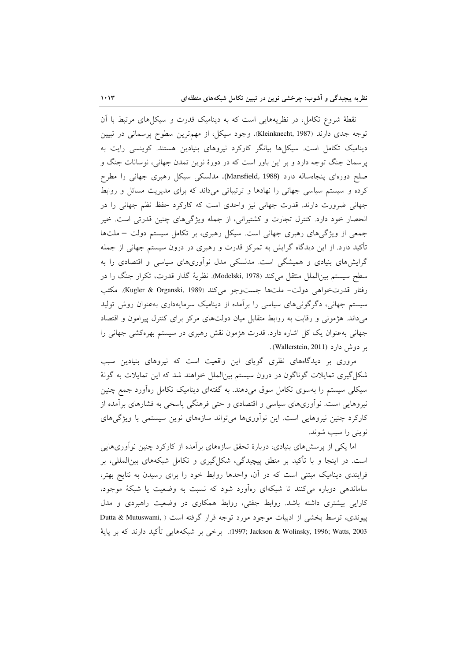نقطهٔ شروع تکامل، در نظریههایی است که به دینامیک قدرت و سیکلهای مرتبط با آن توجه جدی دارند (Kleinknecht, 1987). وجود سیکل، از مهم ترین سطوح پرسمانی در تبیین دینامیک تکامل است. سیکلها بیانگر کارکرد نیروهای بنیادین هستند. کوینسی رایت به پرسمان جنگ توجه دارد و بر این باور است که در دورهٔ نوین تمدن جهانی، نوسانات جنگ و صلح دورهای پنجاهساله دارد (Mansfield, 1988). مدلسکی سیکل رهبری جهانی را مطرح کرده و سیستم سیاسی جهانی را نهادها و ترتیباتی میداند که برای مدیریت مسائل و روابط جهانی ضرورت دارند. قدرت جهانی نیز واحدی است که کارکرد حفظ نظم جهانی را در انحصار خود دارد. کنترل تجارت و کشتیرانی، از جمله ویژگیهای چنین قدرتی است. خیر جمعی از ویژگیهای رهبری جهانی است. سیکل رهبری، بر تکامل سیستم دولت - ملتها تأکید دارد. از این دیدگاه گرایش به تمرکز قدرت و رهبری در درون سیستم جهانی از جمله گرایشهای بنیادی و همیشگی است. مدلسکی مدل نوآوریهای سیاسی و اقتصادی را به سطح سیستم بین|لملل منتقل میکند (Modelski, 1978). نظریهٔ گذار قدرت، تکرار جنگ را در رفتار قدرتخواهی دولت- ملتها جستوجو می کند (Kugler & Organski, 1989). مکتب سیستم جهانی، دگرگونیهای سیاسی را برآمده از دینامیک سرمایهداری بهعنوان روش تولید میداند. هژمونی و رقابت به روابط متقابل میان دولتهای مرکز برای کنترل پیرامون و اقتصاد جهانی بهعنوان یک کل اشاره دارد. قدرت هژمون نقش رهبری در سیستم بهرهکشی جهانی را بر دوش دارد (Wallerstein, 2011).

مروری بر دیدگاههای نظری گویای این واقعیت است که نیروهای بنیادین سبب شکل گیری تمایلات گوناگون در درون سیستم بینالملل خواهند شد که این تمایلات به گونهٔ سیکلی سیستم را بهسوی تکامل سوق میدهند. به گفتهای دینامیک تکامل رهآورد جمع چنین نیروهایی است. نوآوریهای سیاسی و اقتصادی و حتی فرهنگی پاسخی به فشارهای برآمده از کارکرد چنین نیروهایی است. این نوآوریها می تواند سازههای نوین سیستمی با ویژگیهای نويني را سبب شوند.

اما یکی از پرسشهای بنیادی، دربارهٔ تحقق سازههای برآمده از کارکرد چنین نوآوریهایی است. در اینجا و با تأکید بر منطق پیچیدگی، شکل گیری و تکامل شبکههای بین|لمللی، بر فرایندی دینامیک مبتنی است که در آن، واحدها روابط خود را برای رسیدن به نتایج بهتر، ساماندهی دوباره می کنند تا شبکهای رهآورد شود که نسبت به وضعیت یا شبکهٔ موجود، کارایی بیشتری داشته باشد. روابط جفتی، روابط همکاری در وضعیت راهبردی و مدل پیوندی، توسط بخشی از ادبیات موجود مورد توجه قرار گرفته است ( ,Dutta & Mutuswami 1997; Jackson & Wolinsky, 1996; Watts, 2003). برخی بر شبکههایی تأکید دارند که بر پایهٔ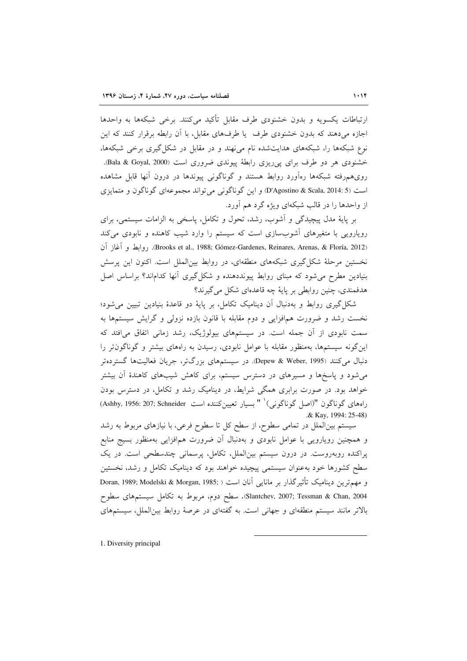ارتباطات يكسويه و بدون خشنودي طرف مقابل تأكيد مي كنند. برخي شبكهها به واحدها اجازه می دهند که بدون خشنودی طرف یا طرفهای مقابل، با آن رابطه برقرار کنند که این نوع شبکهها را، شبکههای هدایتشده نام می نهند و در مقابل در شکل گیری برخی شبکهها، خشنودي هر دو طرف براي ي<sub>جا</sub>ريزي رابطهٔ پيوندي ضروري است (Bala & Goyal, 2000). رویهمهرفته شبکهها رهآورد روابط هستند و گوناگونی پیوندها در درون آنها قابل مشاهده است (D'Agostino & Scala, 2014: 5) و اين گوناگوني مي تواند مجموعهاي گوناگون و متمايزي از واحدها را در قالب شبکهای ویژه گرد هم آورد.

بر پایهٔ مدل پیچیدگی و آشوب، رشد، تحول و تکامل، پاسخی به الزامات سیستمی، برای رویارویی با متغیرهای آشوبسازی است که سیستم را وارد شیب کاهنده و نابودی میکند (Brooks et al., 1988; Gómez-Gardenes, Reinares, Arenas, & Floría, 2012). روابط و آغاز آن نخستین مرحلهٔ شکل گیری شبکههای منطقهای، در روابط بین(لملل است. اکنون این پرسش بنیادین مطرح می شود که مبنای روابط پیونددهنده و شکل گیری آنها کداماند؟ براساس اصل هدفمندي، چنین روابطي بر پايهٔ چه قاعدهاي شکل مي گيرند؟

شکل گیری روابط و بهدنبال آن دینامیک تکامل، بر پایهٔ دو قاعدهٔ بنیادین تبیین می شود؛ نخست رشد و ضرورت همافزایی و دوم مقابله با قانون بازده نزولی و گرایش سیستمها به سمت نابودی از آن جمله است. در سیستمهای بیولوژیک، رشد زمانی اتفاق می|فتد که این گونه سیستمها، بهمنظور مقابله با عوامل نابودی، رسیدن به راههای بیشتر و گوناگون تر را دنبال میکنند (Depew & Weber, 1995). در سیستمهای بزرگتر، جریان فعالیتها گستردهتر می شود و پاسخها و مسیرهای در دسترس سیستم، برای کاهش شیبهای کاهندهٔ آن بیشتر خواهد بود. در صورت برابری همگی شرایط، در دینامیک رشد و تکامل، در دسترس بودن راههای گوناگون "(اصل گوناگونی)<sup>\</sup> " بسیار تعیینکننده است Ashby, 1956: 207; Schneider) & Kay, 1994: 25-48)

سیستم بینالملل در تمامی سطوح، از سطح کل تا سطوح فرعی، با نیازهای مربوط به رشد و همچنین رویارویی با عوامل نابودی و بهدنبال آن ضرورت همافزایی بهمنظور بسیج منابع پراکنده روبهروست. در درون سیستم بین الملل، تکامل، پرسمانی چندسطحی است. در یک سطح کشورها خود بهعنوان سیستمی پیچیده خواهند بود که دینامیک تکامل و رشد، نخستین و مهم ترين ديناميک تأثيرگذار بر مانايي آنان است ( ;Doran, 1989; Modelski & Morgan, 1985 Slantchev, 2007; Tessman & Chan, 2004). سطح دوم، مربوط به تكامل سيستمهاى سطوح بالاتر مانند سیستم منطقهای و جهانی است. به گفتهای در عرصهٔ روابط بینالملل، سیستمهای

1. Diversity principal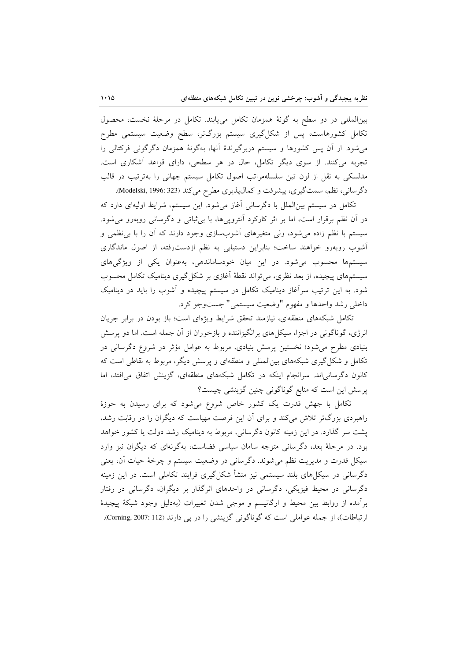بینالمللی در دو سطح به گونهٔ همزمان تکامل مییابند. تکامل در مرحلهٔ نخست، محصول تکامل کشورهاست، پس از شکل گیری سیستم بزرگتر، سطح وضعیت سیستمی مطرح میشود. از آن پس کشورها و سیستم دربرگیرندهٔ آنها، بهگونهٔ همزمان دگرگونی فرکتالی را تجربه میکنند. از سوی دیگر تکامل، حال در هر سطحی، دارای قواعد آشکاری است. مدلسکی به نقل از لون تین سلسلهمراتب اصول تکامل سیستم جهانی را بهترتیب در قالب دگرسانی، نظم، سمتگیری، پیشرفت و کمال پذیری مطرح میکند (Modelski, 1996: 323).

تکامل در سیستم بینالملل با دگرسانی آغاز میشود. این سیستم، شرایط اولیهای دارد که در آن نظم برقرار است، اما بر اثر کارکرد آنتروییها، با بی ثباتی و دگرسانی روبهرو می شود. سیستم با نظم زاده میشود، ولی متغیرهای آشوبسازی وجود دارند که آن را با بی نظمی و آشوب روبهرو خواهند ساخت؛ بنابراین دستیابی به نظم ازدست رفته، از اصول ماندگاری سیستمها محسوب می شود. در این میان خودساماندهی، بهعنوان یکی از ویژگیهای سیستمهای پیچیده، از بعد نظری، می تواند نقطهٔ اَغازی بر شکل گیری دینامیک تکامل محسوب شود. به این ترتیب سرآغاز دینامیک تکامل در سیستم پیچیده و آشوب را باید در دینامیک داخلي رشد واحدها و مفهوم "وضعيت سيستمي" جستوجو كرد.

تکامل شبکههای منطقهای، نیازمند تحقق شرایط ویژهای است؛ باز بودن در برابر جریان انرژی، گوناگونی در اجزا، سیکلهای برانگیزاننده و بازخوران از آن جمله است. اما دو پرسش بنیادی مطرح میشود؛ نخستین پرسش بنیادی، مربوط به عوامل مؤثر در شروع دگرسانی در تکامل و شکل گیری شبکههای بین|لمللی و منطقهای و پرسش دیگر، مربوط به نقاطی است که کانون دگرسانی اند. سرانجام اینکه در تکامل شبکههای منطقهای، گزینش اتفاق می افتد، اما پرسش این است که منابع گوناگونی چنین گزینشی چیست؟

تکامل با جهش قدرت یک کشور خاص شروع می شود که برای رسیدن به حوزهٔ راهبردی بزرگتر تلاش میکند و برای آن این فرصت مهیاست که دیگران را در رقابت رشد، پشت سر گذارد. در این زمینه کانون دگرسانی، مربوط به دینامیک رشد دولت یا کشور خواهد بود. در مرحلهٔ بعد، دگرسانی متوجه سامان سیاسی فضاست، بهگونهای که دیگران نیز وارد سيكل قدرت و مديريت نظم مي شوند. دگرساني در وضعيت سيستم و چرخهٔ حيات آن، يعني دگرسانی در سیکلهای بلند سیستمی نیز منشأ شکل گیری فرایند تکاملی است. در این زمینه دگرسانی در محیط فیزیکی، دگرسانی در واحدهای اثرگذار بر دیگران، دگرسانی در رفتار برآمده از روابط بین محیط و ارگانیسم و موجی شدن تغییرات (بهدلیل وجود شبکهٔ پیچیدهٔ ارتباطات)، از جمله عواملي است كه گوناگوني گزينشي را در پي دارند (Corning, 2007: 112).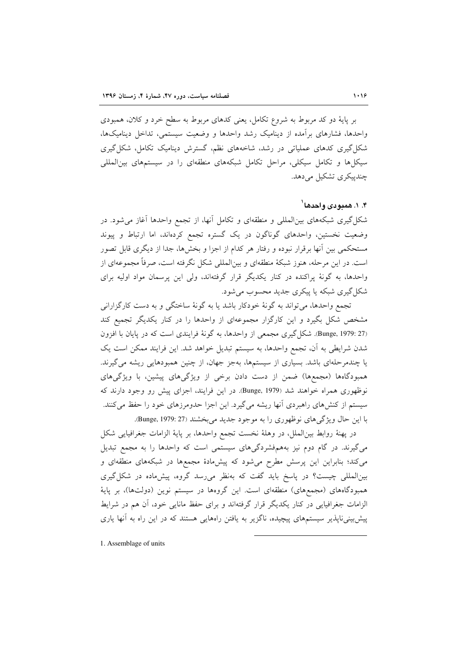بر پایهٔ دو کد مربوط به شروع تکامل، یعنی کدهای مربوط به سطح خرد و کلان، همبودی واحدها، فشارهای برآمده از دینامیک رشد واحدها و وضعیت سیستمی، تداخل دینامیکها، شکل گیری کدهای عملیاتی در رشد، شاخههای نظم، گسترش دینامیک تکامل، شکل گیری سیکل ها و تکامل سیکلی، مراحل تکامل شبکههای منطقهای را در سیستمهای بین|لمللی چندییکری تشکیل می دهد.

### ۴. ۱. همدودی واحدها <sup>۱</sup>

شکل گیری شبکههای بین|لمللی و منطقهای و تکامل آنها، از تجمع واحدها آغاز می شود. در وضعیت نخستین، واحدهای گوناگون در یک گستره تجمع کردهاند، اما ارتباط و پیوند مستحکمی بین آنها برقرار نبوده و رفتار هر کدام از اجزا و بخشها، جدا از دیگری قابل تصور است. در این مرحله، هنوز شبکهٔ منطقهای و بین|لمللی شکل نگرفته است، صرفاً مجموعهای از واحدها، به گونهٔ پراکنده در کنار یکدیگر قرار گرفتهاند، ولی این پرسمان مواد اولیه برای شکل گیری شبکه یا پیکری جدید محسوب می شود.

تجمع واحدها، مي تواند به گونهٔ خودكار باشد يا به گونهٔ ساختگي و به دست كارگزاراني مشخص شکل بگیرد و این کارگزار مجموعهای از واحدها را در کنار یکدیگر تجمیع کند (Bunge, 1979: 27). شکل گیری مجمعی از واحدها، به گونهٔ فرایندی است که در پایان با افزون شدن شرایطی به آن، تجمع واحدها، به سیستم تبدیل خواهد شد. این فرایند ممکن است یک یا چندمرحلهای باشد. بسیاری از سیستمها، بهجز جهان، از چنین همبودهایی ریشه میگیرند. همبودگاهها (مجمعها) ضمن از دست دادن برخی از ویژگیهای پیشین، با ویژگیهای نوظهوری همراه خواهند شد (Bunge, 1979). در این فرایند، اجزای پیش رو وجود دارند که سیستم از کنشهای راهبردی آنها ریشه میگیرد. این اجزا حدومرزهای خود را حفظ میکنند. با اين حال ويژگي هاي نوظهوري را به موجود جديد مي بخشند (Bunge, 1979: 27).

در يهنهٔ روابط بين|لملل، در وهلهٔ نخست تجمع واحدها، بر پايهٔ الزامات جغرافيايي شكل میگیرند. در گام دوم نیز بههمفشردگیهای سیستمی است که واحدها را به مجمع تبدیل میکند؛ بنابراین این پرسش مطرح میشود که پیشهادهٔ مجمعها در شبکههای منطقهای و بین|لمللی چیست؟ در پاسخ باید گفت که بهنظر می رسد گروه، پیش ماده در شکل گیری همبودگاههای (مجمعهای) منطقهای است. این گروهها در سیستم نوین (دولتها)، بر پایهٔ الزامات جغرافیایی در کنار یکدیگر قرار گرفتهاند و برای حفظ مانایی خود، آن هم در شرایط پیش بینی ناپذیر سیستمهای پیچیده، ناگزیر به یافتن راههایی هستند که در این راه به آنها یاری

1. Assemblage of units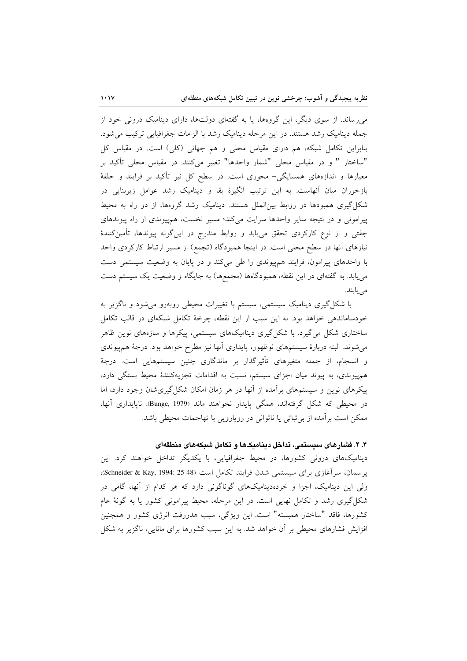می رساند. از سوی دیگر، این گروهها، یا به گفتهای دولتها، دارای دینامیک درونی خود از جمله دینامیک رشد هستند. در این مرحله دینامیک رشد با الزامات جغرافیایی ترکیب می شود. بنابراین تکامل شبکه، هم دارای مقیاس محلی و هم جهانی (کلی) است. در مقیاس کل "ساختار " و در مقیاس محلی "شمار واحدها" تغییر میکنند. در مقیاس محلی تأکید بر معیارها و اندازههای همسایگی- محوری است. در سطح کل نیز تأکید بر فرایند و حلقهٔ بازخوران میان آنهاست. به این ترتیب انگیزهٔ بقا و دینامیک رشد عوامل زیربنایی در شکل گیری همبودها در روابط بین الملل هستند. دینامیک رشد گروهها، از دو راه به محیط پیرامونی و در نتیجه سایر واحدها سرایت میکند؛ مسیر نخست، همپیوندی از راه پیوندهای جفتی و از نوع کارکردی تحقق مییابد و روابط مندرج در اینگونه پیوندها، تأمینکنندهٔ نیازهای آنها در سطح محلی است. در اینجا همبودگاه (تجمع) از مسیر ارتباط کارکردی واحد با واحدهای پیرامون، فرایند هم پیوندی را طی می کند و در پایان به وضعیت سیستمی دست می یابد. به گفتهای در این نقطه، همبودگاهها (مجمعها) به جایگاه و وضعیت یک سیستم دست می یابند.

با شکل گیری دینامیک سیستمی، سیستم با تغییرات محیطی روبهرو می شود و ناگزیر به خودساماندهی خواهد بود. به این سبب از این نقطه، چرخهٔ تکامل شبکهای در قالب تکامل ساختاری شکل میگیرد. با شکلگیری دینامیکهای سیستمی، پیکرها و سازههای نوین ظاهر می شوند. البته دربارهٔ سیستمهای نوظهور، پایداری آنها نیز مطرح خواهد بود. درجهٔ هم پیوندی و انسجام، از جمله متغیرهای تأثیرگذار بر ماندگاری چنین سیستمهایی است. درجهٔ هم پیوندی، به پیوند میان اجزای سیستم، نسبت به اقدامات تجزیهکنندهٔ محیط بستگی دارد، پیکرهای نوین و سیستمهای برآمده از آنها در هر زمان امکان شکل گیریشان وجود دارد، اما در محیطی که شکل گرفتهاند، همگی پایدار نخواهند ماند (Bunge, 1979). ناپایداری آنها، ممکن است برآمده از برثباتی یا ناتوانی در رویارویی با تهاجمات محیطی باشد.

## ۴. ۲. فشارهای سیستمی، تداخل دینامیکها و تکامل شبکههای منطقهای

دینامیکهای درونی کشورها، در محیط جغرافیایی، با یکدیگر تداخل خواهند کرد. این يرسمان، سرآغازي براي سيستمي شدن فرايند تكامل است (Schneider & Kay, 1994: 25-48)، ولی این دینامیک، اجزا و خردهدینامیکهای گوناگونی دارد که هر کدام از آنها، گامی در شکل گیری رشد و تکامل نهایی است. در این مرحله، محیط پیرامونی کشور یا به گونهٔ عام کشورها، فاقد "ساختار همبسته" است. این ویژگی، سبب هدررفت انرژی کشور و همچنین افزایش فشارهای محیطی بر آن خواهد شد. به این سبب کشورها برای مانایی، ناگزیر به شکل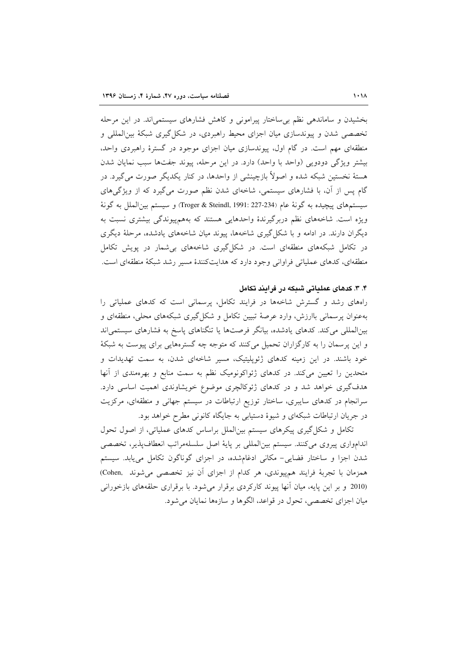بخشیدن و ساماندهی نظم بی ساختار پیرامونی و کاهش فشارهای سیستمی اند. در این مرحله تخصصی شدن و پیوندسازی میان اجزای محیط راهبردی، در شکل گیری شبکهٔ بین(لمللی و منطقهای مهم است. در گام اول، پیوندسازی میان اجزای موجود در گسترهٔ راهبردی واحد، بیشتر ویژگی دودویی (واحد با واحد) دارد. در این مرحله، پیوند جفتها سبب نمایان شدن هستهٔ نخستین شبکه شده و اصولاً بازچینشی از واحدها، در کنار یکدیگر صورت می گیرد. در گام پس از آن، با فشارهای سیستمی، شاخهای شدن نظم صورت می گیرد که از ویژگیهای سيستمهاي پيچيده به گونهٔ عام (Troger & Steindl, 1991: 227-234) و سيستم بين|لملل به گونهٔ ویژه است. شاخههای نظم دربرگیرندهٔ واحدهایی هستند که بههمپیوندگی بیشتری نسبت به دیگران دارند. در ادامه و با شکل گیری شاخهها، پیوند میان شاخههای یادشده، مرحلهٔ دیگری در تکامل شبکههای منطقهای است. در شکل گیری شاخههای بی شمار در یویش تکامل منطقهای، کدهای عملیاتی فراوانی وجود دارد که هدایتکنندهٔ مسیر رشد شبکهٔ منطقهای است.

#### ۴. ۳. کدهای عملیاتی شیکه در فرایند تکامل

راههای رشد و گسترش شاخهها در فرایند تکامل، پرسمانی است که کدهای عملیاتی را بهعنوان پرسمانی باارزش، وارد عرصهٔ تبیین تکامل و شکل گیری شبکههای محلی، منطقهای و بینالمللی می کند. کدهای یادشده، بیانگر فرصتها یا تنگناهای پاسخ به فشارهای سیستمی اند و این پرسمان را به کارگزاران تحمیل میکنند که متوجه چه گسترههایی برای پیوست به شبکهٔ خود باشند. در این زمینه کدهای ژئوپلیتیک، مسیر شاخهای شدن، به سمت تهدیدات و متحدین را تعیین می کند. در کدهای ژئواکونومیک نظم به سمت منابع و بهرهمندی از آنها هدفگیری خواهد شد و در کدهای ژئوکالچری موضوع خویشاوندی اهمیت اساسی دارد. سرانجام در کدهای سایبری، ساختار توزیع ارتباطات در سیستم جهانی و منطقهای، مرکزیت در جریان ارتباطات شبکهای و شیوهٔ دستیابی به جایگاه کانونی مطرح خواهد بود.

تکامل و شکل گیری پیکرهای سیستم بین الملل براساس کدهای عملیاتی، از اصول تحول اندامواري پيروي ميكنند. سيستم بين|لمللي بر پايهٔ اصل سلسلهمراتب انعطافپذير، تخصصي شدن اجزا و ساختار فضایی- مکانی ادغامشده، در اجزای گوناگون تکامل می یابد. سیستم همزمان با تجربهٔ فرایند همپیوندی، هر کدام از اجزای آن نیز تخصصی می شوند .Cohen (2010 و بر این پایه، میان آنها پیوند کارکردی برقرار می شود. با برقراری حلقههای بازخورانی میان اجزای تخصصی، تحول در قواعد، الگوها و سازهها نمایان میشود.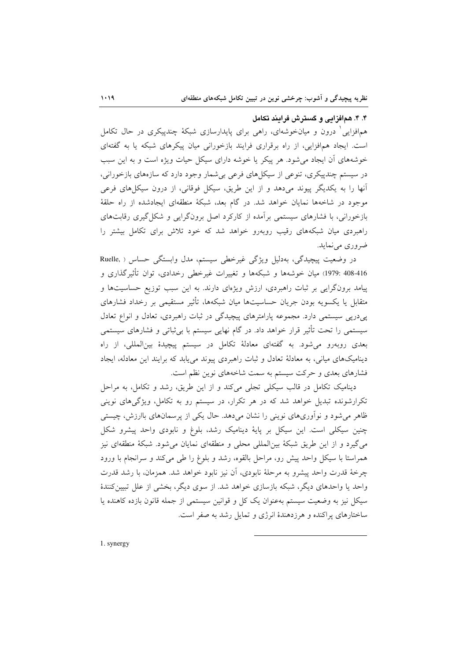۴. ۴. همافزایی و گسترش فرایند تکامل

همافزایی درون و میانخوشهای، راهی برای پایدارسازی شبکهٔ چندییکری در حال تکامل است. ایجاد همافزایی، از راه برقراری فرایند بازخورانی میان پیکرهای شبکه یا به گفتهای خوشههای آن ایجاد می شود. هر پیکر یا خوشه دارای سیکل حیات ویژه است و به این سبب در سیستم چندپیکری، تنوعی از سیکلهای فرعی بیشمار وجود دارد که سازههای بازخورانی، آنها را به یکدیگر پیوند میدهد و از این طریق، سیکل فوقانی، از درون سیکل های فرعی موجود در شاخهها نمایان خواهد شد. در گام بعد، شبکهٔ منطقهای ایجادشده از راه حلقهٔ بازخورانی، با فشارهای سیستمی برآمده از کارکرد اصل برونگرایی و شکل گیری رقابتهای راهبردی میان شبکههای رقیب روبهرو خواهد شد که خود تلاش برای تکامل بیشتر را ضروري مي نمايد.

در وضعیت پیچیدگی، بهدلیل ویژگی غیرخطی سیستم، مدل وابستگی حساس ( Ruelle, 416-408 :1979) ميان خوشهها و شبكهها و تغييرات غيرخطي رخدادي، توان تأثير گذاري و پیامد برونگرایی بر ثبات راهبردی، ارزش ویژهای دارند. به این سبب توزیع حساسیتها و متقابل یا یکسویه بودن جریان حساسیتها میان شبکهها، تأثیر مستقیمی بر رخداد فشارهای پردرپی سیستمی دارد. مجموعه پارامترهای پیچیدگی در ثبات راهبردی، تعادل و انواع تعادل سیستمی را تحت تأثیر قرار خواهد داد. در گام نهایی سیستم با بی ثباتی و فشارهای سیستمی بعدی روبهرو میشود. به گفتهای معادلهٔ تکامل در سیستم پیچیدهٔ بینالمللی، از راه دینامیکهای میانی، به معادلهٔ تعادل و ثبات راهبردی پیوند می یابد که برایند این معادله، ایجاد فشارهای بعدی و حرکت سیستم به سمت شاخههای نوین نظم است.

دینامیک تکامل در قالب سیکلی تجلی میکند و از این طریق، رشد و تکامل، به مراحل تکرارشونده تبدیل خواهد شد که در هر تکرار، در سیستم رو به تکامل، ویژگیهای نوینی ظاهر می شود و نوآوریهای نوینی را نشان میدهد. حال یکی از پرسمانهای باارزش، چیستی چنین سیکلی است. این سیکل بر پایهٔ دینامیک رشد، بلوغ و نابودی واحد پیشرو شکل می گیرد و از این طریق شبکهٔ بین|لمللی محلی و منطقهای نمایان می شود. شبکهٔ منطقهای نیز همراستا با سیکا<sub>،</sub> واحد پیش رو، مراحل بالقوه، رشد و بلوغ را طی میکند و سرانجام با ورود چرخهٔ قدرت واحد پیشرو به مرحلهٔ نابودی، آن نیز نابود خواهد شد. همزمان، با رشد قدرت واحد یا واحدهای دیگر، شبکه بازسازی خواهد شد. از سوی دیگر، بخشی از علل تبیین کنندهٔ سیکل نیز به وضعیت سیستم بهعنوان یک کل و قوانین سیستمی از جمله قانون بازده کاهنده یا ساختارهای پراکنده و هرزدهندهٔ انرژی و تمایل رشد به صفر است.

1. synergy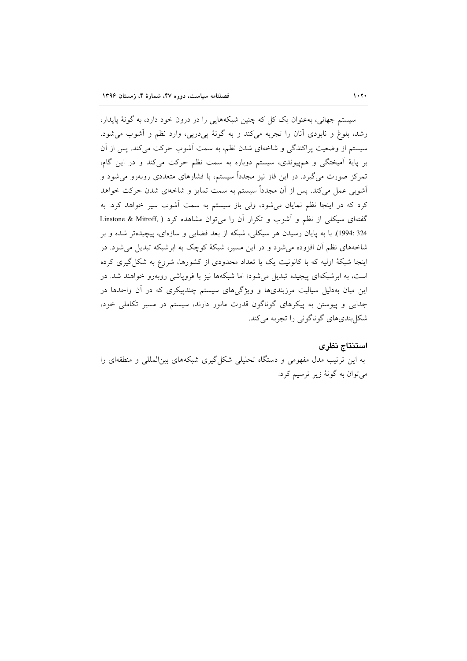سیستم جهانی، بهعنوان یک کل که چنین شبکههایی را در درون خود دارد، به گونهٔ پایدار، رشد، بلوغ و نابودي آنان را تجربه مي كند و به گونهٔ يې دريې، وارد نظم و آشوب مي شود. سیستم از وضعیت پراکندگی و شاخهای شدن نظم، به سمت آشوب حرکت میکند. پس از آن بر پایهٔ اَمیختگی و همپیوندی، سیستم دوباره به سمت نظم حرکت میکند و در این گام، تمرکز صورت میگیرد. در این فاز نیز مجدداً سیستم، با فشارهای متعددی روبهرو می شود و آشوبی عمل میکند. پس از آن مجدداً سیستم به سمت تمایز و شاخهای شدن حرکت خواهد کرد که در اینجا نظم نمایان میشود، ولی باز سیستم به سمت آشوب سیر خواهد کرد. به گفتهای سیکلی از نظم و آشوب و تکرار آن را می توان مشاهده کرد ( .Linstone & Mitroff 324 :1994). با به پایان رسیدن هر سیکلی، شبکه از بعد فضایی و سازمای، پیچیدهتر شده و بر شاخههای نظم آن افزوده می شود و در این مسیر، شبکهٔ کوچک به ابرشبکه تبدیل می شود. در اینجا شبکهٔ اولیه که با کانونیت یک یا تعداد محدودی از کشورها، شروع به شکل *گیری* کرده است، به ابرشبکهای پیچیده تبدیل میشود؛ اما شبکهها نیز با فروپاشی روبهرو خواهند شد. در این میان بهدلیل سیالیت مرزبندیها و ویژگیهای سیستم چندپیکری که در آن واحدها در جدایی و پیوستن به پیکرهای گوناگون قدرت مانور دارند، سیستم در مسیر تکاملی خود، شکل بندي هاي گو ناگوني را تجربه مي کند.

#### استنتاج نظرى

به این ترتیب مدل مفهومی و دستگاه تحلیلی شکل گیری شبکههای بین المللی و منطقهای را مي توان به گونۀ زير ترسيم کرد: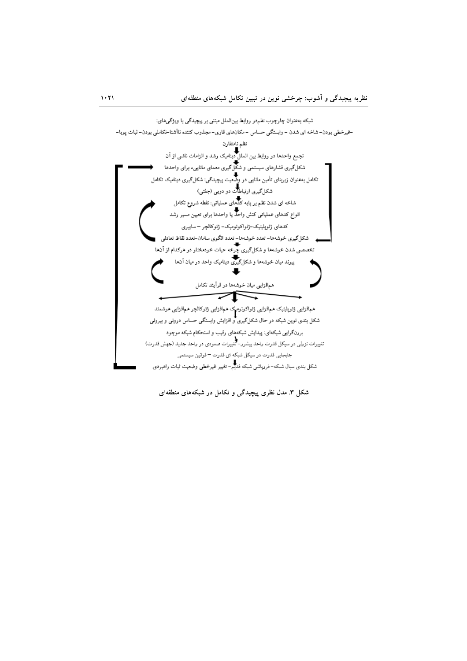

شکل ۳. مدل نظری پیچیدگی و تکامل در شبکههای منطقهای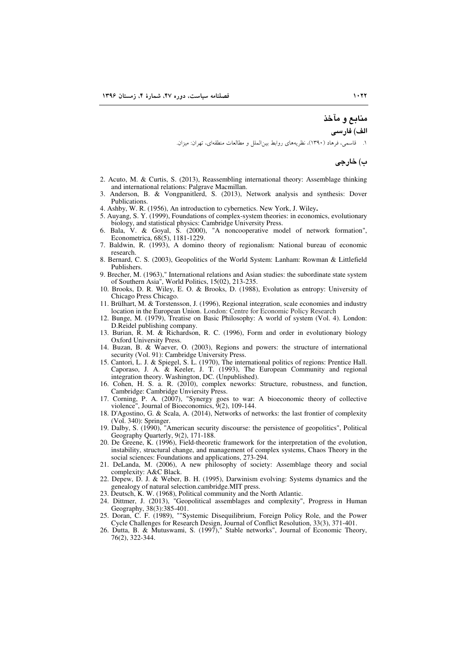# منابع و مآخذ

الف) فارسى

۱. \_ قاسمي، فرهاد (١٣٩٠)، نظريههاي روابط بين|لملل و مطالعات منطقه|ي، تهران: ميزان.

ب) خارجي

- 2. Acuto, M. & Curtis, S. (2013), Reassembling international theory: Assemblage thinking and international relations: Palgrave Macmillan.
- Anderson, B. & Vongpanitlerd, S. (2013), Network analysis and synthesis: Dover 3. Publications.
- 4. Ashby, W. R. (1956), An introduction to cybernetics. New York, J. Wiley.
- 5. Auyang, S. Y. (1999), Foundations of complex-system theories: in economics, evolutionary biology, and statistical physics: Cambridge University Press.
- 6. Bala, V. & Goyal, S. (2000), "A noncooperative model of network formation", Econometrica, 68(5), 1181-1229.
- 7. Baldwin, R. (1993), A domino theory of regionalism: National bureau of economic research.
- 8. Bernard, C. S. (2003), Geopolitics of the World System: Lanham: Rowman & Littlefield Publishers
- 9. Brecher, M. (1963)," International relations and Asian studies: the subordinate state system of Southern Asia", World Politics, 15(02), 213-235.
- 10. Brooks, D. R. Wiley, E. O. & Brooks, D. (1988), Evolution as entropy: University of Chicago Press Chicago.
- 11. Brülhart, M. & Torstensson, J. (1996), Regional integration, scale economies and industry location in the European Union. London: Centre for Economic Policy Research
- 12. Bunge, M. (1979), Treatise on Basic Philosophy: A world of system (Vol. 4). London: D.Reidel publishing company.
- 13. Burian, R. M. & Richardson, R. C. (1996), Form and order in evolutionary biology Oxford University Press.
- 14. Buzan, B. & Waever, O. (2003), Regions and powers: the structure of international security (Vol. 91): Cambridge University Press.
- 15. Cantori, L. J. & Spiegel, S. L. (1970), The international politics of regions: Prentice Hall. Caporaso, J. A. & Keeler, J. T. (1993), The European Community and regional integration theory. Washington, DC. (Unpublished).
- 16. Cohen, H. S. a. R. (2010), complex neworks: Structure, robustness, and function, Cambridge: Cambridge Unviersity Press.
- 17. Corning, P. A. (2007), "Synergy goes to war: A bioeconomic theory of collective violence", Journal of Bioeconomics,  $\tilde{9}(2)$ , 109-144.
- 18. D'Agostino, G. & Scala, A. (2014), Networks of networks: the last frontier of complexity (Vol. 340): Springer.
- 19. Dalby, S. (1990), "American security discourse: the persistence of geopolitics", Political Geography Quarterly, 9(2), 171-188.
- 20. De Greene, K. (1996), Field-theoretic framework for the interpretation of the evolution, instability, structural change, and management of complex systems, Chaos Theory in the social sciences: Foundations and applications, 273-294.
- 21. DeLanda, M. (2006), A new philosophy of society: Assemblage theory and social complexity: A&C Black.
- 22. Depew, D. J. & Weber, B. H. (1995), Darwinism evolving: Systems dynamics and the genealogy of natural selection.cambridge.MIT press.
- 
- 23. Deutsch, K. W. (1968), Political community and the North Atlantic.<br>24. Dittmer, J. (2013), "Geopolitical assemblages and complexity", Progress in Human Geography, 38(3):385-401.
- 25. Doran, C. F. (1989), ""Systemic Disequilibrium, Foreign Policy Role, and the Power Cycle Challenges for Research Design, Journal of Conflict Resolution, 33(3), 371-401.<br>26. Dutta, B. & Mutuswami, S. (1997)," Stable networks", Journal of Economic Theory,
- 76(2), 322-344.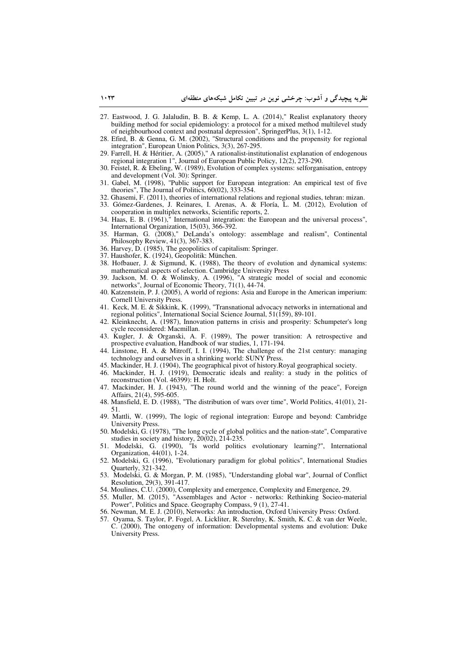- 27. Eastwood, J. G. Jalaludin, B. B. & Kemp, L. A. (2014)," Realist explanatory theory building method for social epidemiology: a protocol for a mixed method multilevel study of neighbourhood context and postnatal depression", SpringerPlus, 3(1), 1-12.
- 28. Efird, B. & Genna, G. M. (2002), "Structural conditions and the propensity for regional integration", European Union Politics, 3(3), 267-295.
- 29. Farrell, H. & Héritier, A. (2005)," A rationalist-institutionalist explanation of endogenous regional integration 1", Journal of European Public Policy, 12(2), 273-290.
- 30. Feistel, R. & Ebeling, W. (1989), Evolution of complex systems: selforganisation, entropy and development (Vol. 30): Springer.
- 31. Gabel, M. (1998), "Public support for European integration: An empirical test of five theories", The Journal of Politics, 60(02), 333-354.
- 32. Ghasemi, F. (2011), theories of international relations and regional studies, tehran: mizan.
- 33. Gómez-Gardenes, J. Reinares, I. Arenas, A. & Floría, L. M. (2012), Evolution of cooperation in multiplex networks, Scientific reports, 2.
- 34. Haas, E. B. (1961)," International integration: the European and the universal process", International Organization, 15(03), 366-392.
- 35. Harman, G. (2008)," DeLanda's ontology: assemblage and realism", Continental Philosophy Review, 41(3), 367-383.
- 36. Harvey, D. (1985), The geopolitics of capitalism: Springer.
- 37. Haushofer, K. (1924), Geopolitik: München.
- 38. Hofbauer, J. & Sigmund, K. (1988), The theory of evolution and dynamical systems: mathematical aspects of selection. Cambridge University Press
- 39. Jackson, M. O. & Wolinsky, A. (1996), "A strategic model of social and economic networks", Journal of Economic Theory, 71(1), 44-74.
- 40. Katzenstein, P. J. (2005), A world of regions: Asia and Europe in the American imperium: Cornell University Press.
- 41. Keck, M. E. & Sikkink, K. (1999), "Transnational advocacy networks in international and regional politics", International Social Science Journal, 51(159), 89-101.
- 42. Kleinknecht, A. (1987), Innovation patterns in crisis and prosperity: Schumpeter's long cycle reconsidered: Macmillan.
- 43. Kugler, J. & Organski, A. F. (1989), The power transition: A retrospective and prospective evaluation, Handbook of war studies, 1, 171-194.
- 44. Linstone, H. A. & Mitroff, I. I. (1994), The challenge of the 21st century: managing technology and ourselves in a shrinking world: SUNY Press.
- 45. Mackinder, H. J. (1904), The geographical pivot of history.Royal geographical society.
- 46. Mackinder, H. J. (1919), Democratic ideals and reality: a study in the politics of reconstruction (Vol. 46399): H. Holt.
- 47. Mackinder, H. J. (1943), "The round world and the winning of the peace", Foreign Affairs, 21(4), 595-605.
- 48. Mansfield, E. D. (1988), "The distribution of wars over time", World Politics, 41(01), 21- 51.
- 49. Mattli, W. (1999), The logic of regional integration: Europe and beyond: Cambridge University Press.
- 50. Modelski, G. (1978), "The long cycle of global politics and the nation-state", Comparative studies in society and history, 20(02), 214-235.
- 51. Modelski, G. (1990), "Is world politics evolutionary learning?", International Organization, 44(01), 1-24.
- 52. Modelski, G. (1996), "Evolutionary paradigm for global politics", International Studies Quarterly, 321-342.
- 53. Modelski, G. & Morgan, P. M. (1985), "Understanding global war", Journal of Conflict Resolution, 29(3), 391-417.
- 54. Moulines, C.U. (2000), Complexity and emergence, Complexity and Emergence, 29.
- 55. Muller, M. (2015), "Assemblages and Actor networks: Rethinking Socieo-material Power", Politics and Space. Geography Compass, 9 (1), 27-41.
- 56. Newman, M. E. J. (2010), Networks: An introduction, Oxford University Press: Oxford.
- 57. Oyama, S. Taylor, P. Fogel, A. Lickliter, R. Sterelny, K. Smith, K. C. & van der Weele, C. (2000), The ontogeny of information: Developmental systems and evolution: Duke University Press.